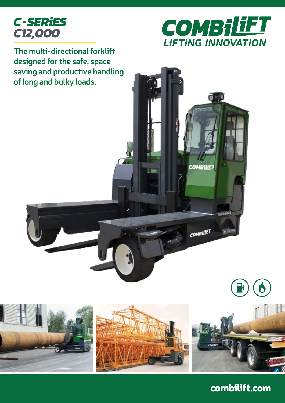



**COMBiliF** 

**COMBILIET** 

**The multi-directional forklift designed for the safe, space saving and productive handling of long and bulky loads.**

> T



combilift.com